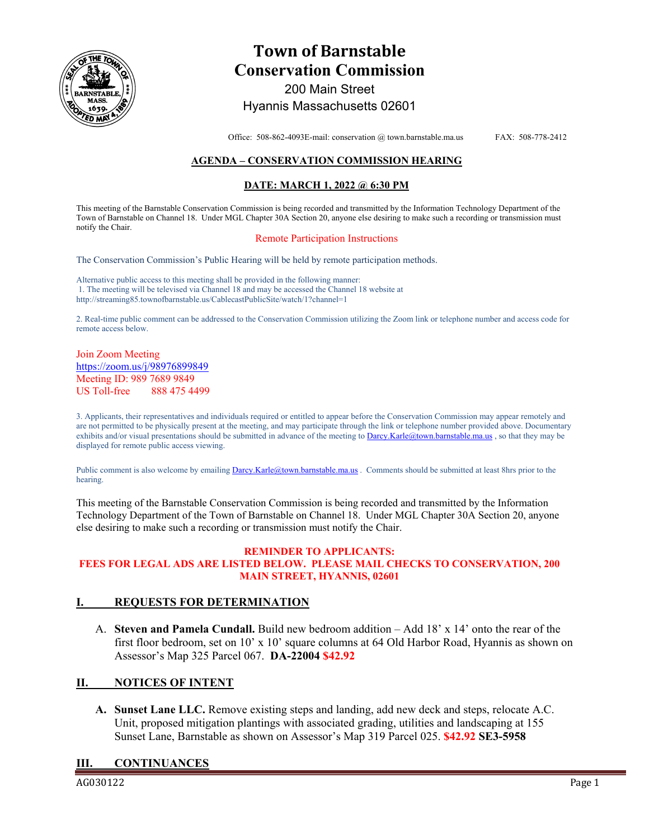

# **Town of Barnstable Conservation Commission**  200 Main Street

# Hyannis Massachusetts 02601

Office: 508-862-4093E-mail: conservation @ town.barnstable.ma.us FAX: 508-778-2412

# **AGENDA – CONSERVATION COMMISSION HEARING**

## **DATE: MARCH 1, 2022 @ 6:30 PM**

This meeting of the Barnstable Conservation Commission is being recorded and transmitted by the Information Technology Department of the Town of Barnstable on Channel 18. Under MGL Chapter 30A Section 20, anyone else desiring to make such a recording or transmission must notify the Chair.

## Remote Participation Instructions

The Conservation Commission's Public Hearing will be held by remote participation methods.

Alternative public access to this meeting shall be provided in the following manner: 1. The meeting will be televised via Channel 18 and may be accessed the Channel 18 website at http://streaming85.townofbarnstable.us/CablecastPublicSite/watch/1?channel=1

2. Real-time public comment can be addressed to the Conservation Commission utilizing the Zoom link or telephone number and access code for remote access below.

## Join Zoom Meeting https://zoom.us/j/98976899849 Meeting ID: 989 7689 9849 US Toll-free 888 475 4499

3. Applicants, their representatives and individuals required or entitled to appear before the Conservation Commission may appear remotely and are not permitted to be physically present at the meeting, and may participate through the link or telephone number provided above. Documentary exhibits and/or visual presentations should be submitted in advance of the meeting to Darcy.Karle@town.barnstable.ma.us, so that they may be displayed for remote public access viewing.

Public comment is also welcome by emailing Darcy.Karle@town.barnstable.ma.us. Comments should be submitted at least 8hrs prior to the hearing.

This meeting of the Barnstable Conservation Commission is being recorded and transmitted by the Information Technology Department of the Town of Barnstable on Channel 18. Under MGL Chapter 30A Section 20, anyone else desiring to make such a recording or transmission must notify the Chair.

#### **REMINDER TO APPLICANTS: FEES FOR LEGAL ADS ARE LISTED BELOW. PLEASE MAIL CHECKS TO CONSERVATION, 200 MAIN STREET, HYANNIS, 02601**

## **I. REQUESTS FOR DETERMINATION**

A. **Steven and Pamela Cundall.** Build new bedroom addition – Add 18' x 14' onto the rear of the first floor bedroom, set on 10' x 10' square columns at 64 Old Harbor Road, Hyannis as shown on Assessor's Map 325 Parcel 067. **DA-22004 \$42.92**

# **II. NOTICES OF INTENT**

**A. Sunset Lane LLC.** Remove existing steps and landing, add new deck and steps, relocate A.C. Unit, proposed mitigation plantings with associated grading, utilities and landscaping at 155 Sunset Lane, Barnstable as shown on Assessor's Map 319 Parcel 025. **\$42.92 SE3-5958** 

## **III. CONTINUANCES**